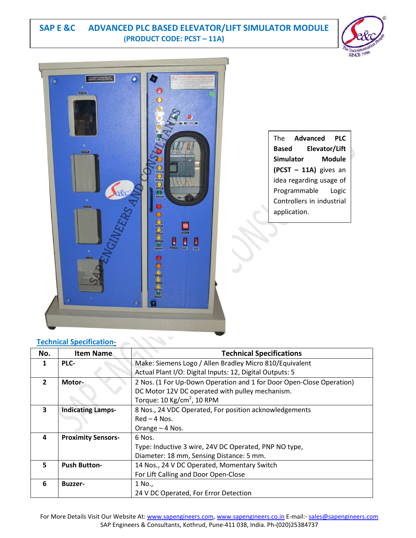## **SAP E &C ADVANCED PLC BASED ELEVATOR/LIFT SIMULATOR MODULE (PRODUCT CODE: PCST – 11A)**





|                  | The <b>Advanced</b> | PLC                       |
|------------------|---------------------|---------------------------|
| Based            |                     | Elevator/Lift             |
| <b>Simulator</b> |                     | Module                    |
|                  |                     | (PCST - 11A) gives an     |
|                  |                     | idea regarding usage of   |
|                  | Programmable        | Logic                     |
|                  |                     | Controllers in industrial |
| application.     |                     |                           |

| No.                     | Item Name                 | <b>Technical Specifications</b>                                      |
|-------------------------|---------------------------|----------------------------------------------------------------------|
| 1                       | PLC-                      | Make: Siemens Logo / Allen Bradley Micro 810/Equivalent              |
|                         |                           | Actual Plant I/O: Digital Inputs: 12, Digital Outputs: 5             |
| $\overline{2}$          | Motor-                    | 2 Nos. (1 For Up-Down Operation and 1 for Door Open-Close Operation) |
|                         |                           | DC Motor 12V DC operated with pulley mechanism.                      |
|                         |                           | Torque: $10 \text{ kg/cm}^2$ , $10 \text{ RPM}$                      |
| $\overline{\mathbf{3}}$ | <b>Indicating Lamps-</b>  | 8 Nos., 24 VDC Operated, For position acknowledgements               |
|                         |                           | $Red - 4$ Nos.                                                       |
|                         |                           | Orange - 4 Nos.                                                      |
| 4                       | <b>Proximity Sensors-</b> | 6 Nos.                                                               |
|                         |                           | Type: Inductive 3 wire, 24V DC Operated, PNP NO type,                |
|                         |                           | Diameter: 18 mm, Sensing Distance: 5 mm.                             |
| 5                       | <b>Push Button-</b>       | 14 Nos., 24 V DC Operated, Momentary Switch                          |
|                         |                           | For Lift Calling and Door Open-Close                                 |
| 6                       | <b>Buzzer-</b>            | 1 No.,                                                               |
|                         |                           | 24 V DC Operated, For Error Detection                                |

## **Technical Specification**-

For More Details Visit Our Website At: www.sapengineers.com, www.sapengineers.co.in E-mail:- sales@sapengineers.com SAP Engineers & Consultants, Kothrud, Pune-411 038, India. Ph-(020)25384737